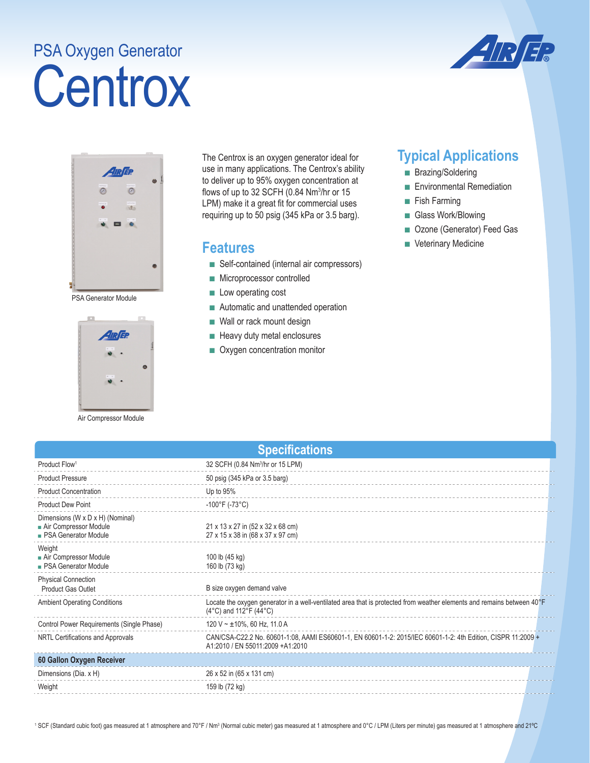## **Centrox** PSA Oxygen Generator





PSA Generator Module



Air Compressor Module

The Centrox is an oxygen generator ideal for use in many applications. The Centrox's ability to deliver up to 95% oxygen concentration at flows of up to 32 SCFH (0.84 Nm3 /hr or 15 LPM) make it a great fit for commercial uses requiring up to 50 psig (345 kPa or 3.5 barg).

## **Features**

- Self-contained (internal air compressors)
- Microprocessor controlled
- Low operating cost
- Automatic and unattended operation
- Wall or rack mount design
- Heavy duty metal enclosures
- Oxygen concentration monitor

## **Typical Applications**

- Brazing/Soldering
- Environmental Remediation
- Fish Farming
- Glass Work/Blowing
- Ozone (Generator) Feed Gas
- Veterinary Medicine

| <b>Specifications</b>                                                                    |                                                                                                                                                                    |  |  |  |
|------------------------------------------------------------------------------------------|--------------------------------------------------------------------------------------------------------------------------------------------------------------------|--|--|--|
| Product Flow <sup>1</sup>                                                                | 32 SCFH (0.84 Nm <sup>3</sup> /hr or 15 LPM)                                                                                                                       |  |  |  |
| <b>Product Pressure</b>                                                                  | 50 psig (345 kPa or 3.5 barg)                                                                                                                                      |  |  |  |
| <b>Product Concentration</b>                                                             | Up to 95%                                                                                                                                                          |  |  |  |
| <b>Product Dew Point</b>                                                                 | $-100^{\circ}$ F (-73°C)                                                                                                                                           |  |  |  |
| Dimensions (W x D x H) (Nominal)<br>Air Compressor Module<br><b>PSA Generator Module</b> | 21 x 13 x 27 in (52 x 32 x 68 cm)<br>27 x 15 x 38 in (68 x 37 x 97 cm)                                                                                             |  |  |  |
| Weight<br>Air Compressor Module<br><b>PSA Generator Module</b>                           | 100 lb (45 kg)<br>160 lb (73 kg)                                                                                                                                   |  |  |  |
| <b>Physical Connection</b><br><b>Product Gas Outlet</b>                                  | B size oxygen demand valve                                                                                                                                         |  |  |  |
| <b>Ambient Operating Conditions</b>                                                      | Locate the oxygen generator in a well-ventilated area that is protected from weather elements and remains between 40°F<br>$(4^{\circ}C)$ and 112°F $(44^{\circ}C)$ |  |  |  |
| Control Power Requirements (Single Phase)                                                | 120 V ~ $\pm$ 10%, 60 Hz, 11.0 A                                                                                                                                   |  |  |  |
| NRTL Certifications and Approvals                                                        | CAN/CSA-C22.2 No. 60601-1:08, AAMI ES60601-1, EN 60601-1-2: 2015/IEC 60601-1-2: 4th Edition, CISPR 11:2009 +<br>A1:2010 / EN 55011:2009 +A1:2010                   |  |  |  |
| 60 Gallon Oxygen Receiver                                                                |                                                                                                                                                                    |  |  |  |
| Dimensions (Dia. x H)                                                                    | 26 x 52 in (65 x 131 cm)                                                                                                                                           |  |  |  |
| Weight                                                                                   | 159 lb (72 kg)                                                                                                                                                     |  |  |  |

<sup>1</sup> SCF (Standard cubic foot) gas measured at 1 atmosphere and 70°F / Nm3 (Normal cubic meter) gas measured at 1 atmosphere and per minute) gas measured at 1 atmosphere and 21℃